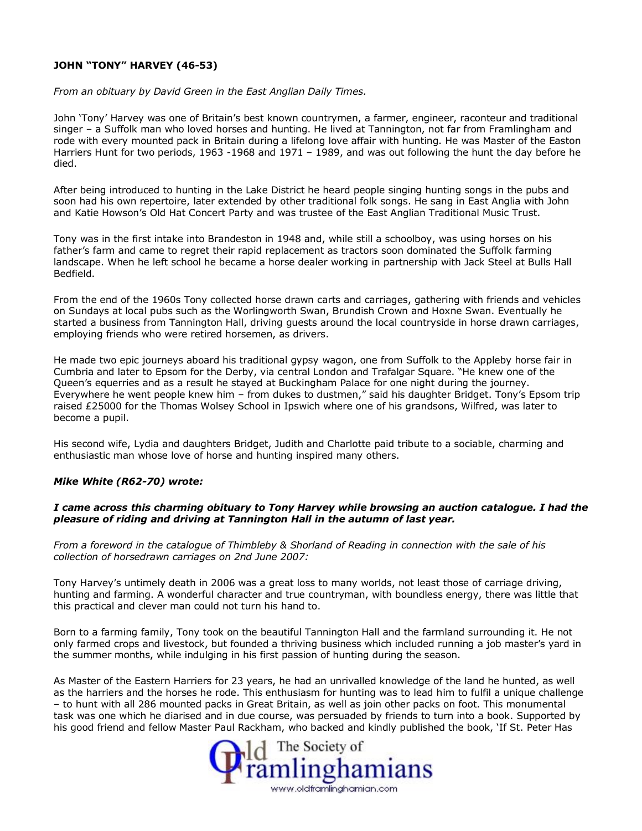## **JOHN "TONY" HARVEY (46-53)**

## *From an obituary by David Green in the East Anglian Daily Times.*

John 'Tony' Harvey was one of Britain's best known countrymen, a farmer, engineer, raconteur and traditional singer – a Suffolk man who loved horses and hunting. He lived at Tannington, not far from Framlingham and rode with every mounted pack in Britain during a lifelong love affair with hunting. He was Master of the Easton Harriers Hunt for two periods, 1963 -1968 and 1971 – 1989, and was out following the hunt the day before he died.

After being introduced to hunting in the Lake District he heard people singing hunting songs in the pubs and soon had his own repertoire, later extended by other traditional folk songs. He sang in East Anglia with John and Katie Howson's Old Hat Concert Party and was trustee of the East Anglian Traditional Music Trust.

Tony was in the first intake into Brandeston in 1948 and, while still a schoolboy, was using horses on his father's farm and came to regret their rapid replacement as tractors soon dominated the Suffolk farming landscape. When he left school he became a horse dealer working in partnership with Jack Steel at Bulls Hall Bedfield.

From the end of the 1960s Tony collected horse drawn carts and carriages, gathering with friends and vehicles on Sundays at local pubs such as the Worlingworth Swan, Brundish Crown and Hoxne Swan. Eventually he started a business from Tannington Hall, driving guests around the local countryside in horse drawn carriages, employing friends who were retired horsemen, as drivers.

He made two epic journeys aboard his traditional gypsy wagon, one from Suffolk to the Appleby horse fair in Cumbria and later to Epsom for the Derby, via central London and Trafalgar Square. "He knew one of the Queen's equerries and as a result he stayed at Buckingham Palace for one night during the journey. Everywhere he went people knew him – from dukes to dustmen," said his daughter Bridget. Tony's Epsom trip raised £25000 for the Thomas Wolsey School in Ipswich where one of his grandsons, Wilfred, was later to become a pupil.

His second wife, Lydia and daughters Bridget, Judith and Charlotte paid tribute to a sociable, charming and enthusiastic man whose love of horse and hunting inspired many others.

## *Mike White (R62-70) wrote:*

## *I came across this charming obituary to Tony Harvey while browsing an auction catalogue. I had the pleasure of riding and driving at Tannington Hall in the autumn of last year.*

*From a foreword in the catalogue of Thimbleby & Shorland of Reading in connection with the sale of his collection of horsedrawn carriages on 2nd June 2007:*

Tony Harvey's untimely death in 2006 was a great loss to many worlds, not least those of carriage driving, hunting and farming. A wonderful character and true countryman, with boundless energy, there was little that this practical and clever man could not turn his hand to.

Born to a farming family, Tony took on the beautiful Tannington Hall and the farmland surrounding it. He not only farmed crops and livestock, but founded a thriving business which included running a job master's yard in the summer months, while indulging in his first passion of hunting during the season.

As Master of the Eastern Harriers for 23 years, he had an unrivalled knowledge of the land he hunted, as well as the harriers and the horses he rode. This enthusiasm for hunting was to lead him to fulfil a unique challenge – to hunt with all 286 mounted packs in Great Britain, as well as join other packs on foot. This monumental task was one which he diarised and in due course, was persuaded by friends to turn into a book. Supported by his good friend and fellow Master Paul Rackham, who backed and kindly published the book, 'If St. Peter Has